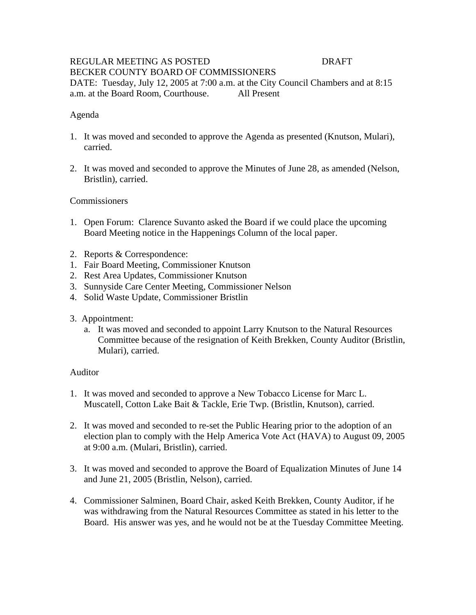### REGULAR MEETING AS POSTED DRAFT BECKER COUNTY BOARD OF COMMISSIONERS DATE: Tuesday, July 12, 2005 at 7:00 a.m. at the City Council Chambers and at 8:15 a.m. at the Board Room, Courthouse. All Present

### Agenda

- 1. It was moved and seconded to approve the Agenda as presented (Knutson, Mulari), carried.
- 2. It was moved and seconded to approve the Minutes of June 28, as amended (Nelson, Bristlin), carried.

#### **Commissioners**

- 1. Open Forum: Clarence Suvanto asked the Board if we could place the upcoming Board Meeting notice in the Happenings Column of the local paper.
- 2. Reports & Correspondence:
- 1. Fair Board Meeting, Commissioner Knutson
- 2. Rest Area Updates, Commissioner Knutson
- 3. Sunnyside Care Center Meeting, Commissioner Nelson
- 4. Solid Waste Update, Commissioner Bristlin
- 3. Appointment:
	- a. It was moved and seconded to appoint Larry Knutson to the Natural Resources Committee because of the resignation of Keith Brekken, County Auditor (Bristlin, Mulari), carried.

#### Auditor

- 1. It was moved and seconded to approve a New Tobacco License for Marc L. Muscatell, Cotton Lake Bait & Tackle, Erie Twp. (Bristlin, Knutson), carried.
- 2. It was moved and seconded to re-set the Public Hearing prior to the adoption of an election plan to comply with the Help America Vote Act (HAVA) to August 09, 2005 at 9:00 a.m. (Mulari, Bristlin), carried.
- 3. It was moved and seconded to approve the Board of Equalization Minutes of June 14 and June 21, 2005 (Bristlin, Nelson), carried.
- 4. Commissioner Salminen, Board Chair, asked Keith Brekken, County Auditor, if he was withdrawing from the Natural Resources Committee as stated in his letter to the Board. His answer was yes, and he would not be at the Tuesday Committee Meeting.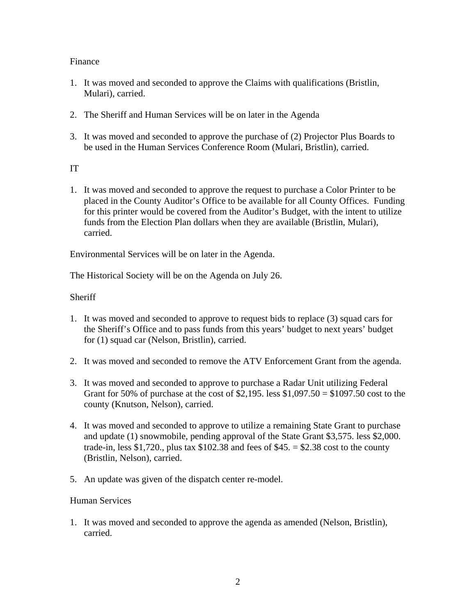## Finance

- 1. It was moved and seconded to approve the Claims with qualifications (Bristlin, Mulari), carried.
- 2. The Sheriff and Human Services will be on later in the Agenda
- 3. It was moved and seconded to approve the purchase of (2) Projector Plus Boards to be used in the Human Services Conference Room (Mulari, Bristlin), carried.

### IT

1. It was moved and seconded to approve the request to purchase a Color Printer to be placed in the County Auditor's Office to be available for all County Offices. Funding for this printer would be covered from the Auditor's Budget, with the intent to utilize funds from the Election Plan dollars when they are available (Bristlin, Mulari), carried.

Environmental Services will be on later in the Agenda.

The Historical Society will be on the Agenda on July 26.

**Sheriff** 

- 1. It was moved and seconded to approve to request bids to replace (3) squad cars for the Sheriff's Office and to pass funds from this years' budget to next years' budget for (1) squad car (Nelson, Bristlin), carried.
- 2. It was moved and seconded to remove the ATV Enforcement Grant from the agenda.
- 3. It was moved and seconded to approve to purchase a Radar Unit utilizing Federal Grant for 50% of purchase at the cost of  $$2,195$ . less  $$1,097.50 = $1097.50$  cost to the county (Knutson, Nelson), carried.
- 4. It was moved and seconded to approve to utilize a remaining State Grant to purchase and update (1) snowmobile, pending approval of the State Grant \$3,575. less \$2,000. trade-in, less \$1,720., plus tax  $$102.38$  and fees of \$45. = \$2.38 cost to the county (Bristlin, Nelson), carried.
- 5. An update was given of the dispatch center re-model.

#### Human Services

1. It was moved and seconded to approve the agenda as amended (Nelson, Bristlin), carried.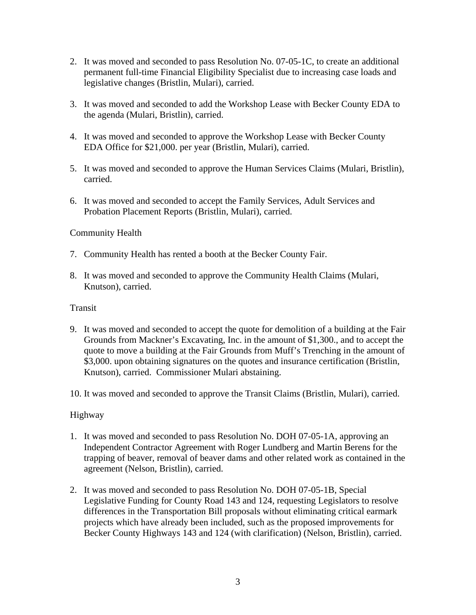- 2. It was moved and seconded to pass Resolution No. 07-05-1C, to create an additional permanent full-time Financial Eligibility Specialist due to increasing case loads and legislative changes (Bristlin, Mulari), carried.
- 3. It was moved and seconded to add the Workshop Lease with Becker County EDA to the agenda (Mulari, Bristlin), carried.
- 4. It was moved and seconded to approve the Workshop Lease with Becker County EDA Office for \$21,000. per year (Bristlin, Mulari), carried.
- 5. It was moved and seconded to approve the Human Services Claims (Mulari, Bristlin), carried.
- 6. It was moved and seconded to accept the Family Services, Adult Services and Probation Placement Reports (Bristlin, Mulari), carried.

# Community Health

- 7. Community Health has rented a booth at the Becker County Fair.
- 8. It was moved and seconded to approve the Community Health Claims (Mulari, Knutson), carried.

## Transit

- 9. It was moved and seconded to accept the quote for demolition of a building at the Fair Grounds from Mackner's Excavating, Inc. in the amount of \$1,300., and to accept the quote to move a building at the Fair Grounds from Muff's Trenching in the amount of \$3,000. upon obtaining signatures on the quotes and insurance certification (Bristlin, Knutson), carried. Commissioner Mulari abstaining.
- 10. It was moved and seconded to approve the Transit Claims (Bristlin, Mulari), carried.

## Highway

- 1. It was moved and seconded to pass Resolution No. DOH 07-05-1A, approving an Independent Contractor Agreement with Roger Lundberg and Martin Berens for the trapping of beaver, removal of beaver dams and other related work as contained in the agreement (Nelson, Bristlin), carried.
- 2. It was moved and seconded to pass Resolution No. DOH 07-05-1B, Special Legislative Funding for County Road 143 and 124, requesting Legislators to resolve differences in the Transportation Bill proposals without eliminating critical earmark projects which have already been included, such as the proposed improvements for Becker County Highways 143 and 124 (with clarification) (Nelson, Bristlin), carried.